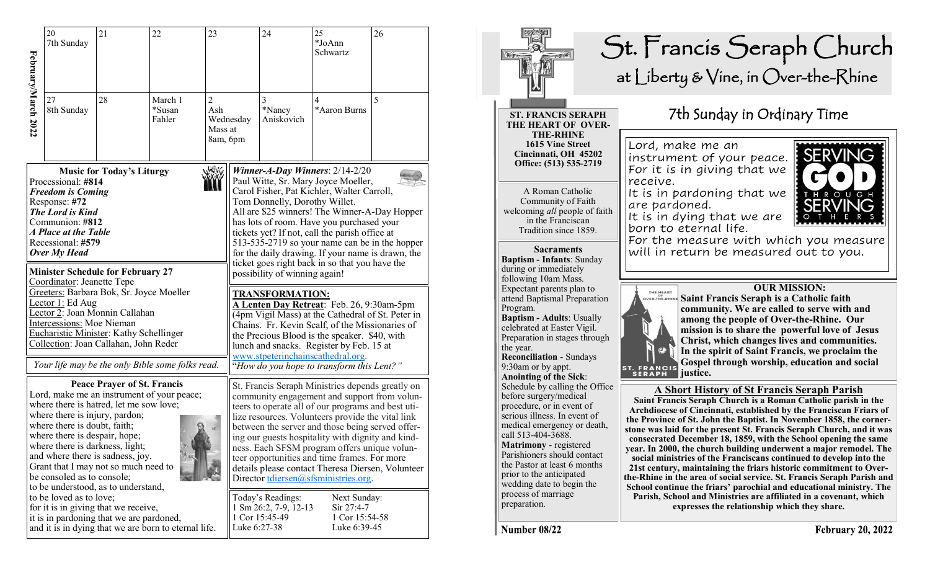|                                                                                                                                                                                                                                                                                                                                                                                                                                                                                                                                                                                           | 20<br>7th Sunday                 | 21                                                                               | 22<br>23                                         |                                                                                                                                                                                                                                                                                     |                                                                                                                                                                                                                                                                                                                                                                                                                                                                                                                                                                          | 24                                                                                                                                                                                                                                                                                                                                                                                                                                                                                                                | 25<br>*JoAnn<br>Schwartz                                       | 26 |  |
|-------------------------------------------------------------------------------------------------------------------------------------------------------------------------------------------------------------------------------------------------------------------------------------------------------------------------------------------------------------------------------------------------------------------------------------------------------------------------------------------------------------------------------------------------------------------------------------------|----------------------------------|----------------------------------------------------------------------------------|--------------------------------------------------|-------------------------------------------------------------------------------------------------------------------------------------------------------------------------------------------------------------------------------------------------------------------------------------|--------------------------------------------------------------------------------------------------------------------------------------------------------------------------------------------------------------------------------------------------------------------------------------------------------------------------------------------------------------------------------------------------------------------------------------------------------------------------------------------------------------------------------------------------------------------------|-------------------------------------------------------------------------------------------------------------------------------------------------------------------------------------------------------------------------------------------------------------------------------------------------------------------------------------------------------------------------------------------------------------------------------------------------------------------------------------------------------------------|----------------------------------------------------------------|----|--|
| February/March 2022                                                                                                                                                                                                                                                                                                                                                                                                                                                                                                                                                                       | 27<br>8th Sunday                 | 28                                                                               | March 1<br>*Susan<br>Fahler                      | 2<br>Ash<br>Mass at<br>8am, 6pm                                                                                                                                                                                                                                                     | Wednesday                                                                                                                                                                                                                                                                                                                                                                                                                                                                                                                                                                | 3<br>*Nancy<br>Aniskovich                                                                                                                                                                                                                                                                                                                                                                                                                                                                                         | 4<br>*Aaron Burns                                              | 5  |  |
| WW.<br><b>Music for Today's Liturgy</b><br>Processional: #814<br><b>Freedom is Coming</b><br>Response: #72<br>The Lord is Kind<br>Communion: #812<br>A Place at the Table<br>Recessional: #579<br>Over My Head<br><b>Minister Schedule for February 27</b><br>Coordinator: Jeanette Tepe<br>Greeters: Barbara Bok, Sr. Joyce Moeller<br>Lector <sub>1:</sub> Ed Aug<br>Lector 2: Joan Monnin Callahan                                                                                                                                                                                     |                                  |                                                                                  |                                                  |                                                                                                                                                                                                                                                                                     | Winner-A-Day Winners: $2/14-2/20$<br>Paul Witte, Sr. Mary Joyce Moeller,<br>Carol Fisher, Pat Kichler, Walter Carroll,<br>Tom Donnelly, Dorothy Willet.<br>All are \$25 winners! The Winner-A-Day Hopper<br>has lots of room. Have you purchased your<br>tickets yet? If not, call the parish office at<br>513-535-2719 so your name can be in the hopper<br>for the daily drawing. If your name is drawn, the<br>ticket goes right back in so that you have the<br>possibility of winning again!<br><b>TRANSFORMATION:</b><br>A Lenten Day Retreat: Feb. 26, 9:30am-5pm |                                                                                                                                                                                                                                                                                                                                                                                                                                                                                                                   |                                                                |    |  |
|                                                                                                                                                                                                                                                                                                                                                                                                                                                                                                                                                                                           | <b>Intercessions:</b> Moe Nieman | Eucharistic Minister: Kathy Schellinger<br>Collection: Joan Callahan, John Reder | Your life may be the only Bible some folks read. | (4pm Vigil Mass) at the Cathedral of St. Peter in<br>Chains. Fr. Kevin Scalf, of the Missionaries of<br>the Precious Blood is the speaker. \$40, with<br>lunch and snacks. Register by Feb. 15 at<br>www.stpeterinchainscathedral.org.<br>"How do you hope to transform this Lent?" |                                                                                                                                                                                                                                                                                                                                                                                                                                                                                                                                                                          |                                                                                                                                                                                                                                                                                                                                                                                                                                                                                                                   |                                                                |    |  |
| <b>Peace Prayer of St. Francis</b><br>Lord, make me an instrument of your peace;<br>where there is hatred, let me sow love;<br>where there is injury, pardon;<br>where there is doubt, faith;<br>where there is despair, hope;<br>where there is darkness, light;<br>and where there is sadness, joy.<br>Grant that I may not so much need to<br>be consoled as to console;<br>to be understood, as to understand,<br>to be loved as to love;<br>for it is in giving that we receive,<br>it is in pardoning that we are pardoned,<br>and it is in dying that we are born to eternal life. |                                  |                                                                                  |                                                  |                                                                                                                                                                                                                                                                                     |                                                                                                                                                                                                                                                                                                                                                                                                                                                                                                                                                                          | St. Francis Seraph Ministries depends greatly on<br>community engagement and support from volun-<br>teers to operate all of our programs and best uti-<br>lize resources. Volunteers provide the vital link<br>between the server and those being served offer-<br>ing our guests hospitality with dignity and kind-<br>ness. Each SFSM program offers unique volun-<br>teer opportunities and time frames. For more<br>details please contact Theresa Diersen, Volunteer<br>Director tdiersen@sfsministries.org. |                                                                |    |  |
|                                                                                                                                                                                                                                                                                                                                                                                                                                                                                                                                                                                           |                                  |                                                                                  |                                                  |                                                                                                                                                                                                                                                                                     |                                                                                                                                                                                                                                                                                                                                                                                                                                                                                                                                                                          | Today's Readings:<br>1 Sm 26:2, 7-9, 12-13<br>1 Cor 15:45-49<br>Luke 6:27-38                                                                                                                                                                                                                                                                                                                                                                                                                                      | Next Sunday:<br>$Sir 27:4-7$<br>1 Cor 15:54-58<br>Luke 6:39-45 |    |  |